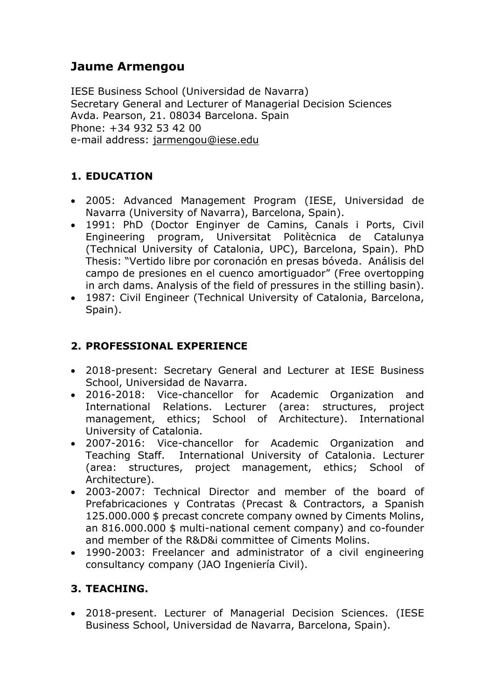# **Jaume Armengou**

IESE Business School (Universidad de Navarra) Secretary General and Lecturer of Managerial Decision Sciences Avda. Pearson, 21. 08034 Barcelona. Spain Phone: +34 932 53 42 00 e-mail address: [jarmengou@iese.edu](mailto:jarmengou@iese.edu)

## **1. EDUCATION**

- 2005: Advanced Management Program (IESE, Universidad de Navarra (University of Navarra), Barcelona, Spain).
- 1991: PhD (Doctor Enginyer de Camins, Canals i Ports, Civil Engineering program, Universitat Politècnica de Catalunya (Technical University of Catalonia, UPC), Barcelona, Spain). PhD Thesis: "Vertido libre por coronación en presas bóveda. Análisis del campo de presiones en el cuenco amortiguador" (Free overtopping in arch dams. Analysis of the field of pressures in the stilling basin).
- 1987: Civil Engineer (Technical University of Catalonia, Barcelona, Spain).

## **2. PROFESSIONAL EXPERIENCE**

- 2018-present: Secretary General and Lecturer at IESE Business School, Universidad de Navarra.
- 2016-2018: Vice-chancellor for Academic Organization and International Relations. Lecturer (area: structures, project management, ethics; School of Architecture). International University of Catalonia.
- 2007-2016: Vice-chancellor for Academic Organization and Teaching Staff. International University of Catalonia. Lecturer (area: structures, project management, ethics; School of Architecture).
- 2003-2007: Technical Director and member of the board of Prefabricaciones y Contratas (Precast & Contractors, a Spanish 125.000.000 \$ precast concrete company owned by Ciments Molins, an 816.000.000 \$ multi-national cement company) and co-founder and member of the R&D&i committee of Ciments Molins.
- 1990-2003: Freelancer and administrator of a civil engineering consultancy company (JAO Ingeniería Civil).

## **3. TEACHING.**

 2018-present. Lecturer of Managerial Decision Sciences. (IESE Business School, Universidad de Navarra, Barcelona, Spain).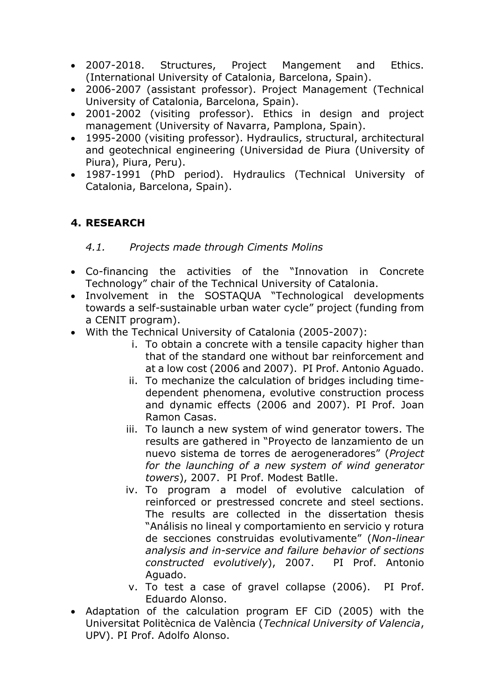- 2007-2018. Structures, Project Mangement and Ethics. (International University of Catalonia, Barcelona, Spain).
- 2006-2007 (assistant professor). Project Management (Technical University of Catalonia, Barcelona, Spain).
- 2001-2002 (visiting professor). Ethics in design and project management (University of Navarra, Pamplona, Spain).
- 1995-2000 (visiting professor). Hydraulics, structural, architectural and geotechnical engineering (Universidad de Piura (University of Piura), Piura, Peru).
- 1987-1991 (PhD period). Hydraulics (Technical University of Catalonia, Barcelona, Spain).

## **4. RESEARCH**

### *4.1. Projects made through Ciments Molins*

- Co-financing the activities of the "Innovation in Concrete Technology" chair of the Technical University of Catalonia.
- Involvement in the SOSTAQUA "Technological developments towards a self-sustainable urban water cycle" project (funding from a CENIT program).
- With the Technical University of Catalonia (2005-2007):
	- i. To obtain a concrete with a tensile capacity higher than that of the standard one without bar reinforcement and at a low cost (2006 and 2007). PI Prof. Antonio Aguado.
	- ii. To mechanize the calculation of bridges including timedependent phenomena, evolutive construction process and dynamic effects (2006 and 2007). PI Prof. Joan Ramon Casas.
	- iii. To launch a new system of wind generator towers. The results are gathered in "Proyecto de lanzamiento de un nuevo sistema de torres de aerogeneradores" (*Project for the launching of a new system of wind generator towers*), 2007. PI Prof. Modest Batlle.
	- iv. To program a model of evolutive calculation of reinforced or prestressed concrete and steel sections. The results are collected in the dissertation thesis "Análisis no lineal y comportamiento en servicio y rotura de secciones construidas evolutivamente" (*Non-linear analysis and in-service and failure behavior of sections constructed evolutively*), 2007. PI Prof. Antonio Aguado.
	- v. To test a case of gravel collapse (2006). PI Prof. Eduardo Alonso.
- Adaptation of the calculation program EF CiD (2005) with the Universitat Politècnica de València (*Technical University of Valencia*, UPV). PI Prof. Adolfo Alonso.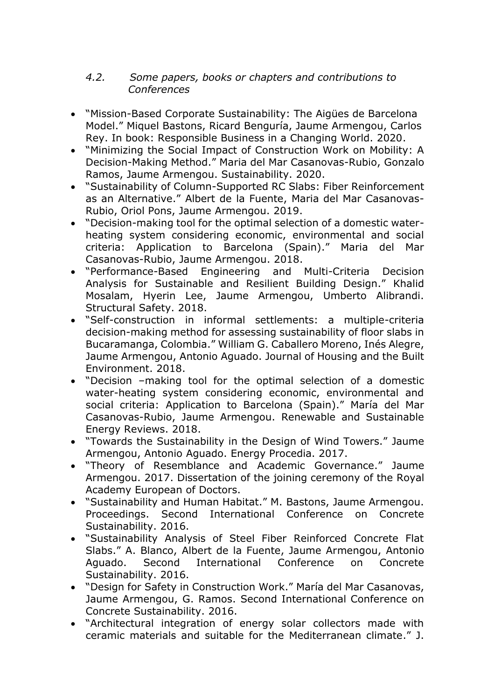### *4.2. Some papers, books or chapters and contributions to Conferences*

- "Mission-Based Corporate Sustainability: The Aigües de Barcelona Model." Miquel Bastons, Ricard Benguría, Jaume Armengou, Carlos Rey. In book: Responsible Business in a Changing World. 2020.
- "Minimizing the Social Impact of Construction Work on Mobility: A Decision-Making Method." Maria del Mar Casanovas-Rubio, Gonzalo Ramos, Jaume Armengou. Sustainability. 2020.
- "Sustainability of Column-Supported RC Slabs: Fiber Reinforcement as an Alternative." Albert de la Fuente, Maria del Mar Casanovas-Rubio, Oriol Pons, Jaume Armengou. 2019.
- "Decision-making tool for the optimal selection of a domestic waterheating system considering economic, environmental and social criteria: Application to Barcelona (Spain)." Maria del Mar Casanovas-Rubio, Jaume Armengou. 2018.
- "Performance-Based Engineering and Multi-Criteria Decision Analysis for Sustainable and Resilient Building Design." Khalid Mosalam, Hyerin Lee, Jaume Armengou, Umberto Alibrandi. Structural Safety. 2018.
- "Self-construction in informal settlements: a multiple-criteria decision-making method for assessing sustainability of floor slabs in Bucaramanga, Colombia." William G. Caballero Moreno, Inés Alegre, Jaume Armengou, Antonio Aguado. Journal of Housing and the Built Environment. 2018.
- "Decision –making tool for the optimal selection of a domestic water-heating system considering economic, environmental and social criteria: Application to Barcelona (Spain)." María del Mar Casanovas-Rubio, Jaume Armengou. Renewable and Sustainable Energy Reviews. 2018.
- "Towards the Sustainability in the Design of Wind Towers." Jaume Armengou, Antonio Aguado. Energy Procedia. 2017.
- "Theory of Resemblance and Academic Governance." Jaume Armengou. 2017. Dissertation of the joining ceremony of the Royal Academy European of Doctors.
- "Sustainability and Human Habitat." M. Bastons, Jaume Armengou. Proceedings. Second International Conference on Concrete Sustainability. 2016.
- "Sustainability Analysis of Steel Fiber Reinforced Concrete Flat Slabs." A. Blanco, Albert de la Fuente, Jaume Armengou, Antonio Aguado. Second International Conference on Concrete Sustainability. 2016.
- "Design for Safety in Construction Work." María del Mar Casanovas, Jaume Armengou, G. Ramos. Second International Conference on Concrete Sustainability. 2016.
- "Architectural integration of energy solar collectors made with ceramic materials and suitable for the Mediterranean climate." J.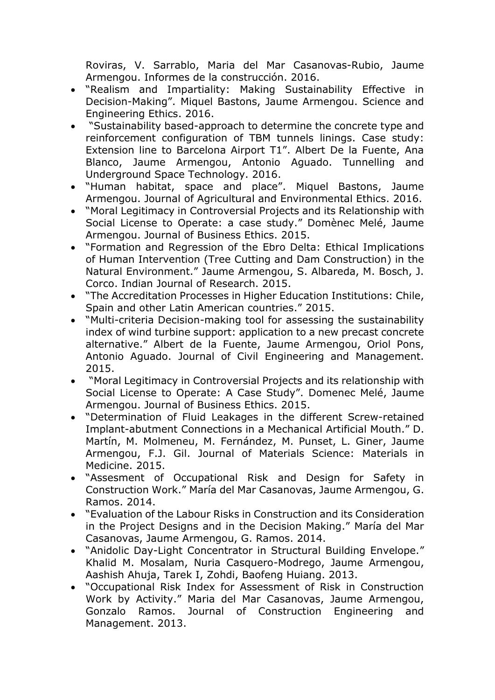Roviras, V. Sarrablo, Maria del Mar Casanovas-Rubio, Jaume Armengou. Informes de la construcción. 2016.

- "Realism and Impartiality: Making Sustainability Effective in Decision-Making". Miquel Bastons, Jaume Armengou. Science and Engineering Ethics. 2016.
- "Sustainability based-approach to determine the concrete type and reinforcement configuration of TBM tunnels linings. Case study: Extension line to Barcelona Airport T1". Albert De la Fuente, Ana Blanco, Jaume Armengou, Antonio Aguado. Tunnelling and Underground Space Technology. 2016.
- "Human habitat, space and place". Miquel Bastons, Jaume Armengou. Journal of Agricultural and Environmental Ethics. 2016.
- "Moral Legitimacy in Controversial Projects and its Relationship with Social License to Operate: a case study." Domènec Melé, Jaume Armengou. Journal of Business Ethics. 2015.
- "Formation and Regression of the Ebro Delta: Ethical Implications of Human Intervention (Tree Cutting and Dam Construction) in the Natural Environment." Jaume Armengou, S. Albareda, M. Bosch, J. Corco. Indian Journal of Research. 2015.
- "The Accreditation Processes in Higher Education Institutions: Chile, Spain and other Latin American countries." 2015.
- "Multi-criteria Decision-making tool for assessing the sustainability index of wind turbine support: application to a new precast concrete alternative." Albert de la Fuente, Jaume Armengou, Oriol Pons, Antonio Aguado. Journal of Civil Engineering and Management. 2015.
- "Moral Legitimacy in Controversial Projects and its relationship with Social License to Operate: A Case Study". Domenec Melé, Jaume Armengou. Journal of Business Ethics. 2015.
- "Determination of Fluid Leakages in the different Screw-retained Implant-abutment Connections in a Mechanical Artificial Mouth." D. Martín, M. Molmeneu, M. Fernández, M. Punset, L. Giner, Jaume Armengou, F.J. Gil. Journal of Materials Science: Materials in Medicine. 2015.
- "Assesment of Occupational Risk and Design for Safety in Construction Work." María del Mar Casanovas, Jaume Armengou, G. Ramos. 2014.
- "Evaluation of the Labour Risks in Construction and its Consideration in the Project Designs and in the Decision Making." María del Mar Casanovas, Jaume Armengou, G. Ramos. 2014.
- "Anidolic Day-Light Concentrator in Structural Building Envelope." Khalid M. Mosalam, Nuria Casquero-Modrego, Jaume Armengou, Aashish Ahuja, Tarek I, Zohdi, Baofeng Huiang. 2013.
- "Occupational Risk Index for Assessment of Risk in Construction Work by Activity." Maria del Mar Casanovas, Jaume Armengou, Gonzalo Ramos. Journal of Construction Engineering and Management. 2013.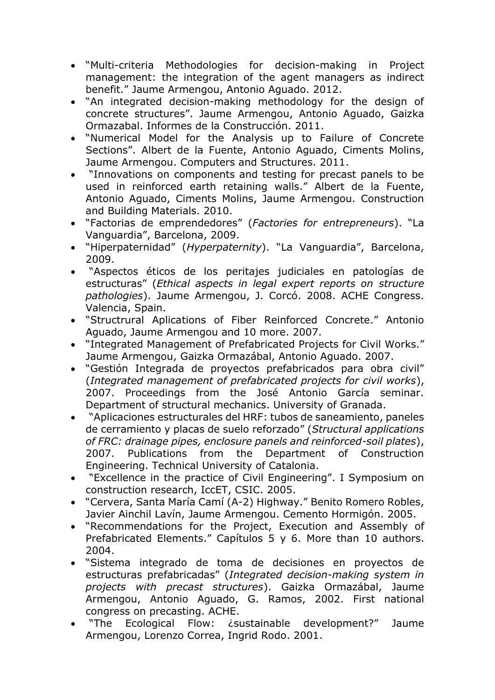- "Multi-criteria Methodologies for decision-making in Project management: the integration of the agent managers as indirect benefit." Jaume Armengou, Antonio Aguado. 2012.
- "An integrated decision-making methodology for the design of concrete structures". Jaume Armengou, Antonio Aguado, Gaizka Ormazabal. Informes de la Construcción. 2011.
- "Numerical Model for the Analysis up to Failure of Concrete Sections". Albert de la Fuente, Antonio Aguado, Ciments Molins, Jaume Armengou. Computers and Structures. 2011.
- "Innovations on components and testing for precast panels to be used in reinforced earth retaining walls." Albert de la Fuente, Antonio Aguado, Ciments Molins, Jaume Armengou. Construction and Building Materials. 2010.
- "Factorias de emprendedores" (*Factories for entrepreneurs*). "La Vanguardia", Barcelona, 2009.
- "Hiperpaternidad" (*Hyperpaternity*). "La Vanguardia", Barcelona, 2009.
- "Aspectos éticos de los peritajes judiciales en patologías de estructuras" (*Ethical aspects in legal expert reports on structure pathologies*). Jaume Armengou, J. Corcó. 2008. ACHE Congress. Valencia, Spain.
- "Structrural Aplications of Fiber Reinforced Concrete." Antonio Aguado, Jaume Armengou and 10 more. 2007.
- "Integrated Management of Prefabricated Projects for Civil Works." Jaume Armengou, Gaizka Ormazábal, Antonio Aguado. 2007.
- "Gestión Integrada de proyectos prefabricados para obra civil" (*Integrated management of prefabricated projects for civil works*), 2007. Proceedings from the José Antonio García seminar. Department of structural mechanics. University of Granada.
- "Aplicaciones estructurales del HRF: tubos de saneamiento, paneles de cerramiento y placas de suelo reforzado" (*Structural applications of FRC: drainage pipes, enclosure panels and reinforced-soil plates*), 2007. Publications from the Department of Construction Engineering. Technical University of Catalonia.
- "Excellence in the practice of Civil Engineering". I Symposium on construction research, IccET, CSIC. 2005.
- "Cervera, Santa María Camí (A-2) Highway." Benito Romero Robles, Javier Ainchil Lavín, Jaume Armengou. Cemento Hormigón. 2005.
- "Recommendations for the Project, Execution and Assembly of Prefabricated Elements." Capítulos 5 y 6. More than 10 authors. 2004.
- "Sistema integrado de toma de decisiones en proyectos de estructuras prefabricadas" (*Integrated decision-making system in projects with precast structures*). Gaizka Ormazábal, Jaume Armengou, Antonio Aguado, G. Ramos, 2002. First national congress on precasting. ACHE.
- "The Ecological Flow: ¿sustainable development?" Jaume Armengou, Lorenzo Correa, Ingrid Rodo. 2001.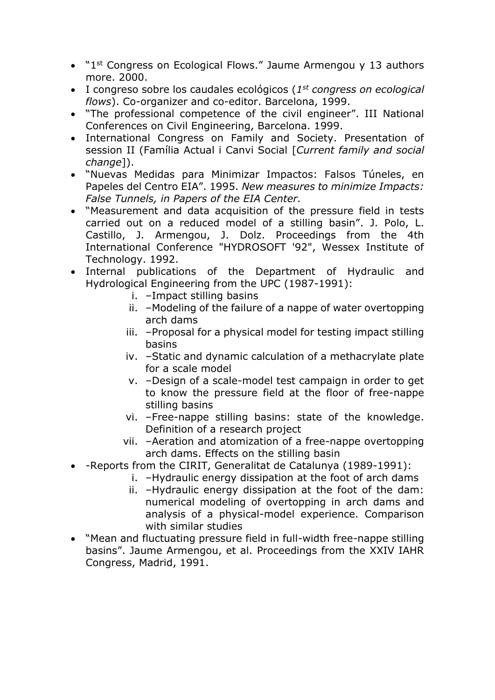- "1<sup>st</sup> Congress on Ecological Flows." Jaume Armengou y 13 authors more. 2000.
- I congreso sobre los caudales ecológicos (*1 st congress on ecological flows*). Co-organizer and co-editor. Barcelona, 1999.
- "The professional competence of the civil engineer". III National Conferences on Civil Engineering, Barcelona. 1999.
- International Congress on Family and Society. Presentation of session II (Família Actual i Canvi Social [*Current family and social change*]).
- "Nuevas Medidas para Minimizar Impactos: Falsos Túneles, en Papeles del Centro EIA". 1995. *New measures to minimize Impacts: False Tunnels, in Papers of the EIA Center.*
- "Measurement and data acquisition of the pressure field in tests carried out on a reduced model of a stilling basin". J. Polo, L. Castillo, J. Armengou, J. Dolz. Proceedings from the 4th International Conference "HYDROSOFT '92", Wessex Institute of Technology. 1992.
- Internal publications of the Department of Hydraulic and Hydrological Engineering from the UPC (1987-1991):
	- i. –Impact stilling basins
	- ii. –Modeling of the failure of a nappe of water overtopping arch dams
	- iii. –Proposal for a physical model for testing impact stilling basins
	- iv. –Static and dynamic calculation of a methacrylate plate for a scale model
	- v. –Design of a scale-model test campaign in order to get to know the pressure field at the floor of free-nappe stilling basins
	- vi. –Free-nappe stilling basins: state of the knowledge. Definition of a research project
	- vii. –Aeration and atomization of a free-nappe overtopping arch dams. Effects on the stilling basin
- -Reports from the CIRIT, Generalitat de Catalunya (1989-1991):
	- i. –Hydraulic energy dissipation at the foot of arch dams
	- ii. –Hydraulic energy dissipation at the foot of the dam: numerical modeling of overtopping in arch dams and analysis of a physical-model experience. Comparison with similar studies
- "Mean and fluctuating pressure field in full-width free-nappe stilling basins". Jaume Armengou, et al. Proceedings from the XXIV IAHR Congress, Madrid, 1991.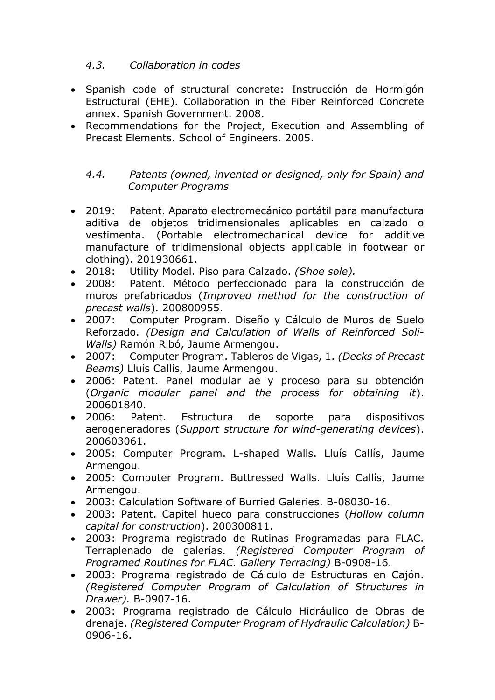#### *4.3. Collaboration in codes*

- Spanish code of structural concrete: Instrucción de Hormigón Estructural (EHE). Collaboration in the Fiber Reinforced Concrete annex. Spanish Government. 2008.
- Recommendations for the Project, Execution and Assembling of Precast Elements. School of Engineers. 2005.

#### *4.4. Patents (owned, invented or designed, only for Spain) and Computer Programs*

- 2019: Patent. Aparato electromecánico portátil para manufactura aditiva de objetos tridimensionales aplicables en calzado o vestimenta. (Portable electromechanical device for additive manufacture of tridimensional objects applicable in footwear or clothing). 201930661.
- 2018: Utility Model. Piso para Calzado. *(Shoe sole).*
- 2008: Patent. Método perfeccionado para la construcción de muros prefabricados (*Improved method for the construction of precast walls*). 200800955.
- 2007: Computer Program. Diseño y Cálculo de Muros de Suelo Reforzado. *(Design and Calculation of Walls of Reinforced Soli-Walls)* Ramón Ribó, Jaume Armengou.
- 2007: Computer Program. Tableros de Vigas, 1. *(Decks of Precast Beams)* Lluís Callís, Jaume Armengou.
- 2006: Patent. Panel modular ae y proceso para su obtención (*Organic modular panel and the process for obtaining it*). 200601840.
- 2006: Patent. Estructura de soporte para dispositivos aerogeneradores (*Support structure for wind-generating devices*). 200603061.
- 2005: Computer Program. L-shaped Walls. Lluís Callís, Jaume Armengou.
- 2005: Computer Program. Buttressed Walls. Lluís Callís, Jaume Armengou.
- 2003: Calculation Software of Burried Galeries. B-08030-16.
- 2003: Patent. Capitel hueco para construcciones (*Hollow column capital for construction*). 200300811.
- 2003: Programa registrado de Rutinas Programadas para FLAC. Terraplenado de galerías. *(Registered Computer Program of Programed Routines for FLAC. Gallery Terracing)* B-0908-16.
- 2003: Programa registrado de Cálculo de Estructuras en Cajón. *(Registered Computer Program of Calculation of Structures in Drawer).* B-0907-16.
- 2003: Programa registrado de Cálculo Hidráulico de Obras de drenaje. *(Registered Computer Program of Hydraulic Calculation)* B-0906-16.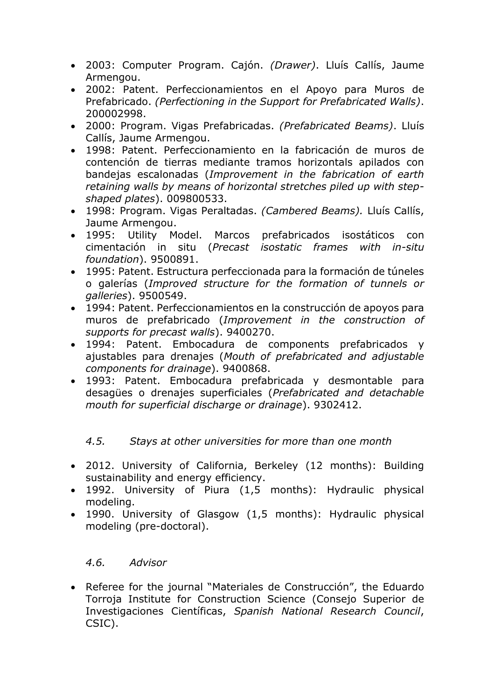- 2003: Computer Program. Cajón. *(Drawer)*. Lluís Callís, Jaume Armengou.
- 2002: Patent. Perfeccionamientos en el Apoyo para Muros de Prefabricado. *(Perfectioning in the Support for Prefabricated Walls)*. 200002998.
- 2000: Program. Vigas Prefabricadas. *(Prefabricated Beams)*. Lluís Callís, Jaume Armengou.
- 1998: Patent. Perfeccionamiento en la fabricación de muros de contención de tierras mediante tramos horizontals apilados con bandejas escalonadas (*Improvement in the fabrication of earth retaining walls by means of horizontal stretches piled up with stepshaped plates*). 009800533.
- 1998: Program. Vigas Peraltadas. *(Cambered Beams).* Lluís Callís, Jaume Armengou.
- 1995: Utility Model. Marcos prefabricados isostáticos con cimentación in situ (*Precast isostatic frames with in-situ foundation*). 9500891.
- 1995: Patent. Estructura perfeccionada para la formación de túneles o galerías (*Improved structure for the formation of tunnels or galleries*). 9500549.
- 1994: Patent. Perfeccionamientos en la construcción de apoyos para muros de prefabricado (*Improvement in the construction of supports for precast walls*). 9400270.
- 1994: Patent. Embocadura de components prefabricados y ajustables para drenajes (*Mouth of prefabricated and adjustable components for drainage*). 9400868.
- 1993: Patent. Embocadura prefabricada y desmontable para desagües o drenajes superficiales (*Prefabricated and detachable mouth for superficial discharge or drainage*). 9302412.

### *4.5. Stays at other universities for more than one month*

- 2012. University of California, Berkeley (12 months): Building sustainability and energy efficiency.
- 1992. University of Piura (1,5 months): Hydraulic physical modeling.
- 1990. University of Glasgow (1,5 months): Hydraulic physical modeling (pre-doctoral).

### *4.6. Advisor*

 Referee for the journal "Materiales de Construcción", the Eduardo Torroja Institute for Construction Science (Consejo Superior de Investigaciones Científicas, *Spanish National Research Council*, CSIC).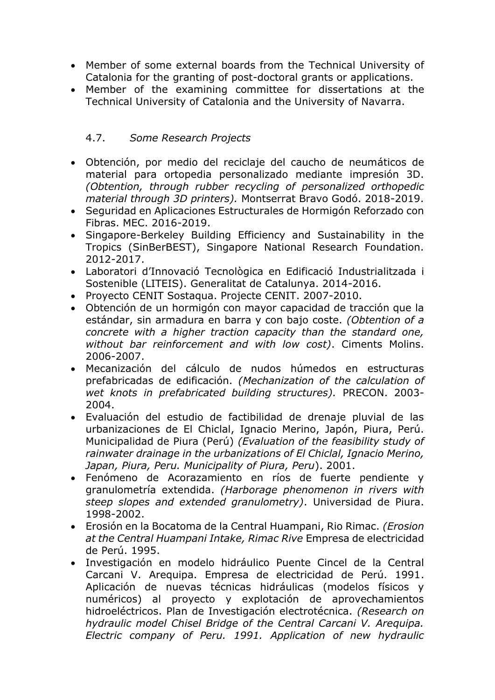- Member of some external boards from the Technical University of Catalonia for the granting of post-doctoral grants or applications.
- Member of the examining committee for dissertations at the Technical University of Catalonia and the University of Navarra.

### 4.7. *Some Research Projects*

- Obtención, por medio del reciclaje del caucho de neumáticos de material para ortopedia personalizado mediante impresión 3D. *(Obtention, through rubber recycling of personalized orthopedic material through 3D printers).* Montserrat Bravo Godó. 2018-2019.
- Seguridad en Aplicaciones Estructurales de Hormigón Reforzado con Fibras. MEC. 2016-2019.
- Singapore-Berkeley Building Efficiency and Sustainability in the Tropics (SinBerBEST), Singapore National Research Foundation. 2012-2017.
- Laboratori d'Innovació Tecnològica en Edificació Industrialitzada i Sostenible (LITEIS). Generalitat de Catalunya. 2014-2016.
- Provecto CENIT Sostagua. Projecte CENIT. 2007-2010.
- Obtención de un hormigón con mayor capacidad de tracción que la estándar, sin armadura en barra y con bajo coste. *(Obtention of a concrete with a higher traction capacity than the standard one, without bar reinforcement and with low cost)*. Ciments Molins. 2006-2007.
- Mecanización del cálculo de nudos húmedos en estructuras prefabricadas de edificación. *(Mechanization of the calculation of wet knots in prefabricated building structures).* PRECON. 2003- 2004.
- Evaluación del estudio de factibilidad de drenaje pluvial de las urbanizaciones de El Chiclal, Ignacio Merino, Japón, Piura, Perú. Municipalidad de Piura (Perú) *(Evaluation of the feasibility study of rainwater drainage in the urbanizations of El Chiclal, Ignacio Merino, Japan, Piura, Peru. Municipality of Piura, Peru*). 2001.
- Fenómeno de Acorazamiento en ríos de fuerte pendiente y granulometría extendida. *(Harborage phenomenon in rivers with steep slopes and extended granulometry)*. Universidad de Piura. 1998-2002.
- Erosión en la Bocatoma de la Central Huampani, Rio Rimac. *(Erosion at the Central Huampani Intake, Rimac Rive* Empresa de electricidad de Perú. 1995.
- Investigación en modelo hidráulico Puente Cincel de la Central Carcani V. Arequipa. Empresa de electricidad de Perú. 1991. Aplicación de nuevas técnicas hidráulicas (modelos físicos y numéricos) al proyecto y explotación de aprovechamientos hidroeléctricos. Plan de Investigación electrotécnica. *(Research on hydraulic model Chisel Bridge of the Central Carcani V. Arequipa. Electric company of Peru. 1991. Application of new hydraulic*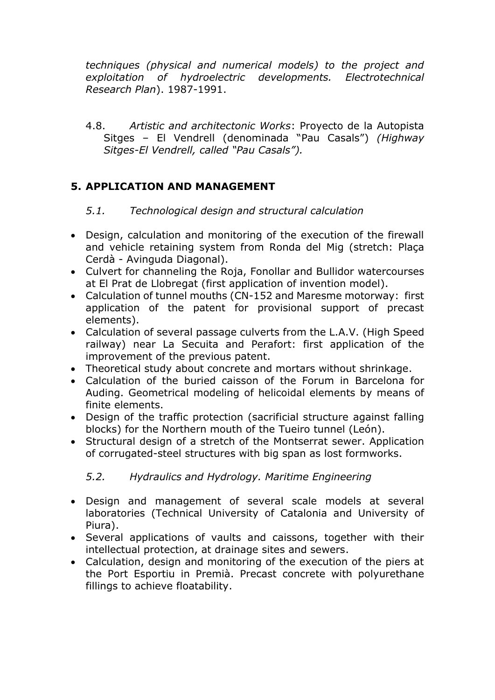*techniques (physical and numerical models) to the project and exploitation of hydroelectric developments. Electrotechnical Research Plan*). 1987-1991.

4.8. *Artistic and architectonic Works*: Proyecto de la Autopista Sitges – El Vendrell (denominada "Pau Casals") *(Highway Sitges-El Vendrell, called "Pau Casals").*

## **5. APPLICATION AND MANAGEMENT**

### *5.1. Technological design and structural calculation*

- Design, calculation and monitoring of the execution of the firewall and vehicle retaining system from Ronda del Mig (stretch: Plaça Cerdà - Avinguda Diagonal).
- Culvert for channeling the Roja, Fonollar and Bullidor watercourses at El Prat de Llobregat (first application of invention model).
- Calculation of tunnel mouths (CN-152 and Maresme motorway: first application of the patent for provisional support of precast elements).
- Calculation of several passage culverts from the L.A.V. (High Speed railway) near La Secuita and Perafort: first application of the improvement of the previous patent.
- Theoretical study about concrete and mortars without shrinkage.
- Calculation of the buried caisson of the Forum in Barcelona for Auding. Geometrical modeling of helicoidal elements by means of finite elements.
- Design of the traffic protection (sacrificial structure against falling blocks) for the Northern mouth of the Tueiro tunnel (León).
- Structural design of a stretch of the Montserrat sewer. Application of corrugated-steel structures with big span as lost formworks.

## *5.2. Hydraulics and Hydrology. Maritime Engineering*

- Design and management of several scale models at several laboratories (Technical University of Catalonia and University of Piura).
- Several applications of vaults and caissons, together with their intellectual protection, at drainage sites and sewers.
- Calculation, design and monitoring of the execution of the piers at the Port Esportiu in Premià. Precast concrete with polyurethane fillings to achieve floatability.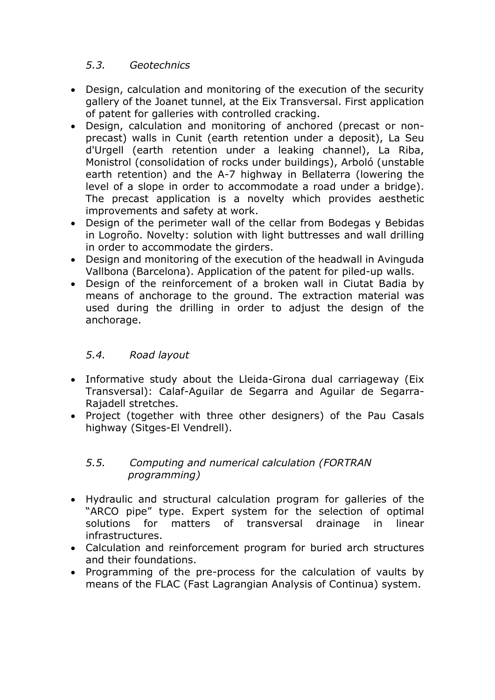#### *5.3. Geotechnics*

- Design, calculation and monitoring of the execution of the security gallery of the Joanet tunnel, at the Eix Transversal. First application of patent for galleries with controlled cracking.
- Design, calculation and monitoring of anchored (precast or nonprecast) walls in Cunit (earth retention under a deposit), La Seu d'Urgell (earth retention under a leaking channel), La Riba, Monistrol (consolidation of rocks under buildings), Arboló (unstable earth retention) and the A-7 highway in Bellaterra (lowering the level of a slope in order to accommodate a road under a bridge). The precast application is a novelty which provides aesthetic improvements and safety at work.
- Design of the perimeter wall of the cellar from Bodegas y Bebidas in Logroño. Novelty: solution with light buttresses and wall drilling in order to accommodate the girders.
- Design and monitoring of the execution of the headwall in Avinguda Vallbona (Barcelona). Application of the patent for piled-up walls.
- Design of the reinforcement of a broken wall in Ciutat Badia by means of anchorage to the ground. The extraction material was used during the drilling in order to adjust the design of the anchorage.

### *5.4. Road layout*

- Informative study about the Lleida-Girona dual carriageway (Eix Transversal): Calaf-Aguilar de Segarra and Aguilar de Segarra-Rajadell stretches.
- Project (together with three other designers) of the Pau Casals highway (Sitges-El Vendrell).

#### *5.5. Computing and numerical calculation (FORTRAN programming)*

- Hydraulic and structural calculation program for galleries of the "ARCO pipe" type. Expert system for the selection of optimal solutions for matters of transversal drainage in linear infrastructures.
- Calculation and reinforcement program for buried arch structures and their foundations.
- Programming of the pre-process for the calculation of vaults by means of the FLAC (Fast Lagrangian Analysis of Continua) system.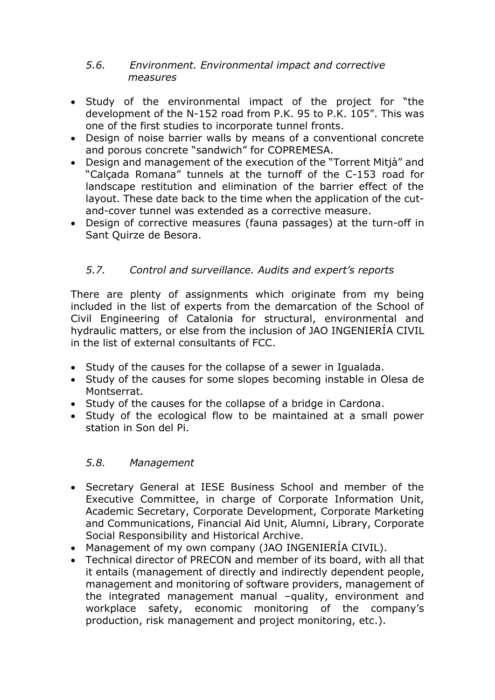#### *5.6. Environment. Environmental impact and corrective measures*

- Study of the environmental impact of the project for "the development of the N-152 road from P.K. 95 to P.K. 105". This was one of the first studies to incorporate tunnel fronts.
- Design of noise barrier walls by means of a conventional concrete and porous concrete "sandwich" for COPREMESA.
- Design and management of the execution of the "Torrent Mitjà" and "Calçada Romana" tunnels at the turnoff of the C-153 road for landscape restitution and elimination of the barrier effect of the layout. These date back to the time when the application of the cutand-cover tunnel was extended as a corrective measure.
- Design of corrective measures (fauna passages) at the turn-off in Sant Quirze de Besora.

## *5.7. Control and surveillance. Audits and expert's reports*

There are plenty of assignments which originate from my being included in the list of experts from the demarcation of the School of Civil Engineering of Catalonia for structural, environmental and hydraulic matters, or else from the inclusion of JAO INGENIERÍA CIVIL in the list of external consultants of FCC.

- Study of the causes for the collapse of a sewer in Igualada.
- Study of the causes for some slopes becoming instable in Olesa de Montserrat.
- Study of the causes for the collapse of a bridge in Cardona.
- Study of the ecological flow to be maintained at a small power station in Son del Pi.

### *5.8. Management*

- Secretary General at IESE Business School and member of the Executive Committee, in charge of Corporate Information Unit, Academic Secretary, Corporate Development, Corporate Marketing and Communications, Financial Aid Unit, Alumni, Library, Corporate Social Responsibility and Historical Archive.
- Management of my own company (JAO INGENIERÍA CIVIL).
- Technical director of PRECON and member of its board, with all that it entails (management of directly and indirectly dependent people, management and monitoring of software providers, management of the integrated management manual –quality, environment and workplace safety, economic monitoring of the company's production, risk management and project monitoring, etc.).